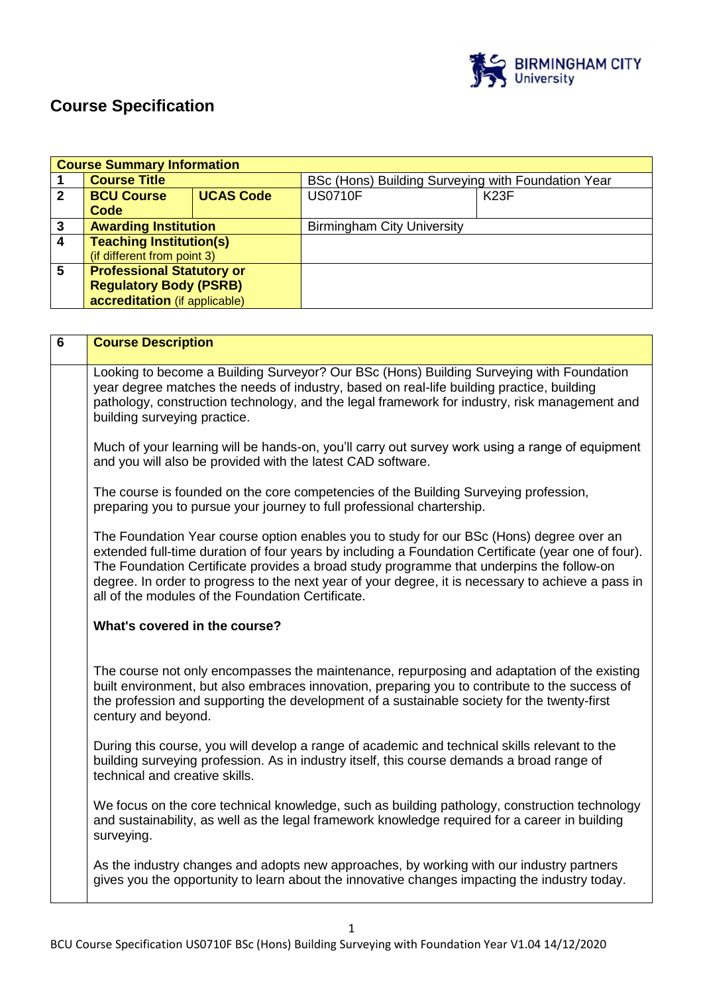

# **Course Specification**

| <b>Course Summary Information</b> |                                  |                  |                                                    |                   |
|-----------------------------------|----------------------------------|------------------|----------------------------------------------------|-------------------|
|                                   | <b>Course Title</b>              |                  | BSc (Hons) Building Surveying with Foundation Year |                   |
| $\mathbf{2}$                      | <b>BCU Course</b>                | <b>UCAS Code</b> | <b>US0710F</b>                                     | K <sub>23</sub> F |
|                                   | Code                             |                  |                                                    |                   |
| 3                                 | <b>Awarding Institution</b>      |                  | <b>Birmingham City University</b>                  |                   |
| $\overline{4}$                    | <b>Teaching Institution(s)</b>   |                  |                                                    |                   |
|                                   | (if different from point 3)      |                  |                                                    |                   |
| $5\phantom{.0}$                   | <b>Professional Statutory or</b> |                  |                                                    |                   |
|                                   | <b>Regulatory Body (PSRB)</b>    |                  |                                                    |                   |
|                                   | accreditation (if applicable)    |                  |                                                    |                   |

| $6\phantom{1}6$ | <b>Course Description</b>                                                                                                                                                                                                                                                                                                                                                                                                                              |  |  |
|-----------------|--------------------------------------------------------------------------------------------------------------------------------------------------------------------------------------------------------------------------------------------------------------------------------------------------------------------------------------------------------------------------------------------------------------------------------------------------------|--|--|
|                 | Looking to become a Building Surveyor? Our BSc (Hons) Building Surveying with Foundation<br>year degree matches the needs of industry, based on real-life building practice, building<br>pathology, construction technology, and the legal framework for industry, risk management and<br>building surveying practice.                                                                                                                                 |  |  |
|                 | Much of your learning will be hands-on, you'll carry out survey work using a range of equipment<br>and you will also be provided with the latest CAD software.                                                                                                                                                                                                                                                                                         |  |  |
|                 | The course is founded on the core competencies of the Building Surveying profession,<br>preparing you to pursue your journey to full professional chartership.                                                                                                                                                                                                                                                                                         |  |  |
|                 | The Foundation Year course option enables you to study for our BSc (Hons) degree over an<br>extended full-time duration of four years by including a Foundation Certificate (year one of four).<br>The Foundation Certificate provides a broad study programme that underpins the follow-on<br>degree. In order to progress to the next year of your degree, it is necessary to achieve a pass in<br>all of the modules of the Foundation Certificate. |  |  |
|                 | What's covered in the course?                                                                                                                                                                                                                                                                                                                                                                                                                          |  |  |
|                 | The course not only encompasses the maintenance, repurposing and adaptation of the existing<br>built environment, but also embraces innovation, preparing you to contribute to the success of<br>the profession and supporting the development of a sustainable society for the twenty-first<br>century and beyond.                                                                                                                                    |  |  |
|                 | During this course, you will develop a range of academic and technical skills relevant to the<br>building surveying profession. As in industry itself, this course demands a broad range of<br>technical and creative skills.                                                                                                                                                                                                                          |  |  |
|                 | We focus on the core technical knowledge, such as building pathology, construction technology<br>and sustainability, as well as the legal framework knowledge required for a career in building<br>surveying.                                                                                                                                                                                                                                          |  |  |
|                 | As the industry changes and adopts new approaches, by working with our industry partners<br>gives you the opportunity to learn about the innovative changes impacting the industry today.                                                                                                                                                                                                                                                              |  |  |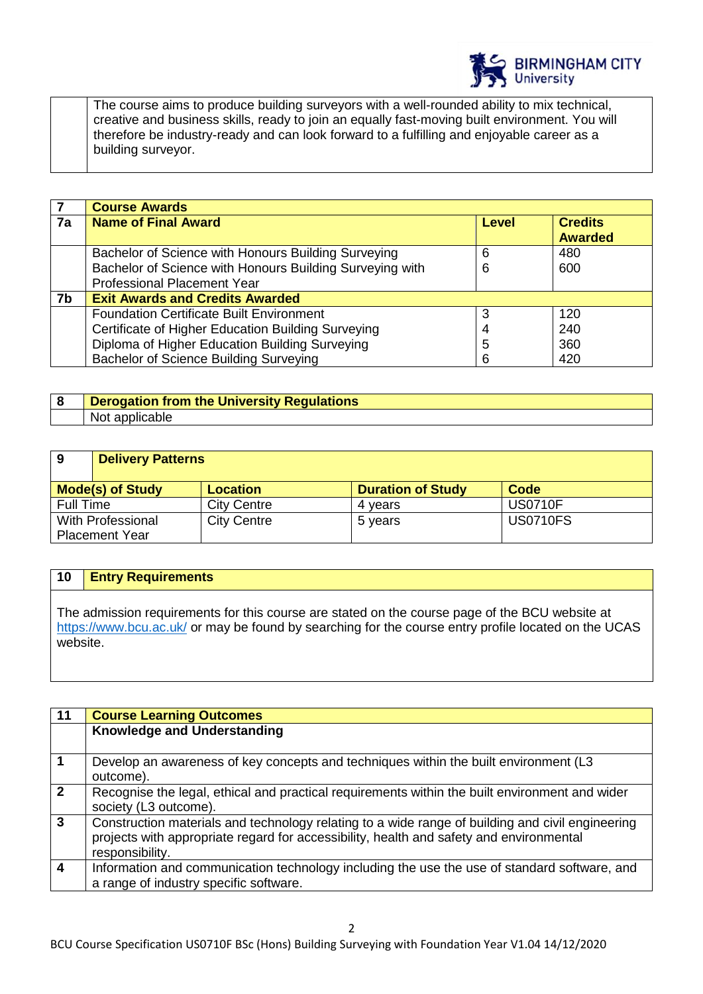

The course aims to produce building surveyors with a well-rounded ability to mix technical, creative and business skills, ready to join an equally fast-moving built environment. You will therefore be industry-ready and can look forward to a fulfilling and enjoyable career as a building surveyor.

|                | <b>Course Awards</b>                                     |       |                |  |
|----------------|----------------------------------------------------------|-------|----------------|--|
| 7a             | <b>Name of Final Award</b>                               | Level | <b>Credits</b> |  |
|                |                                                          |       | <b>Awarded</b> |  |
|                | Bachelor of Science with Honours Building Surveying      | 6     | 480            |  |
|                | Bachelor of Science with Honours Building Surveying with | 6     | 600            |  |
|                | <b>Professional Placement Year</b>                       |       |                |  |
| 7 <sub>b</sub> | <b>Exit Awards and Credits Awarded</b>                   |       |                |  |
|                | <b>Foundation Certificate Built Environment</b>          |       | 120            |  |
|                | Certificate of Higher Education Building Surveying       |       | 240            |  |
|                | Diploma of Higher Education Building Surveying           | 5     | 360            |  |
|                | <b>Bachelor of Science Building Surveying</b>            | 6     | 420            |  |

# **8 Derogation from the University Regulations**  Not applicable

| 9                       | <b>Delivery Patterns</b> |                    |                          |                 |  |
|-------------------------|--------------------------|--------------------|--------------------------|-----------------|--|
| <b>Mode(s) of Study</b> |                          | <b>Location</b>    | <b>Duration of Study</b> | Code            |  |
| Full Time               |                          | <b>City Centre</b> | 4 vears                  | <b>US0710F</b>  |  |
| With Professional       |                          | <b>City Centre</b> | 5 years                  | <b>US0710FS</b> |  |
| <b>Placement Year</b>   |                          |                    |                          |                 |  |

# **10 Entry Requirements**

The admission requirements for this course are stated on the course page of the BCU website at <https://www.bcu.ac.uk/> or may be found by searching for the course entry profile located on the UCAS website.

| 11             | <b>Course Learning Outcomes</b>                                                                                                                                                                                |
|----------------|----------------------------------------------------------------------------------------------------------------------------------------------------------------------------------------------------------------|
|                | <b>Knowledge and Understanding</b>                                                                                                                                                                             |
| $\overline{1}$ | Develop an awareness of key concepts and techniques within the built environment (L3<br>outcome).                                                                                                              |
| $\overline{2}$ | Recognise the legal, ethical and practical requirements within the built environment and wider<br>society (L3 outcome).                                                                                        |
| $\mathbf{3}$   | Construction materials and technology relating to a wide range of building and civil engineering<br>projects with appropriate regard for accessibility, health and safety and environmental<br>responsibility. |
| $\overline{4}$ | Information and communication technology including the use the use of standard software, and<br>a range of industry specific software.                                                                         |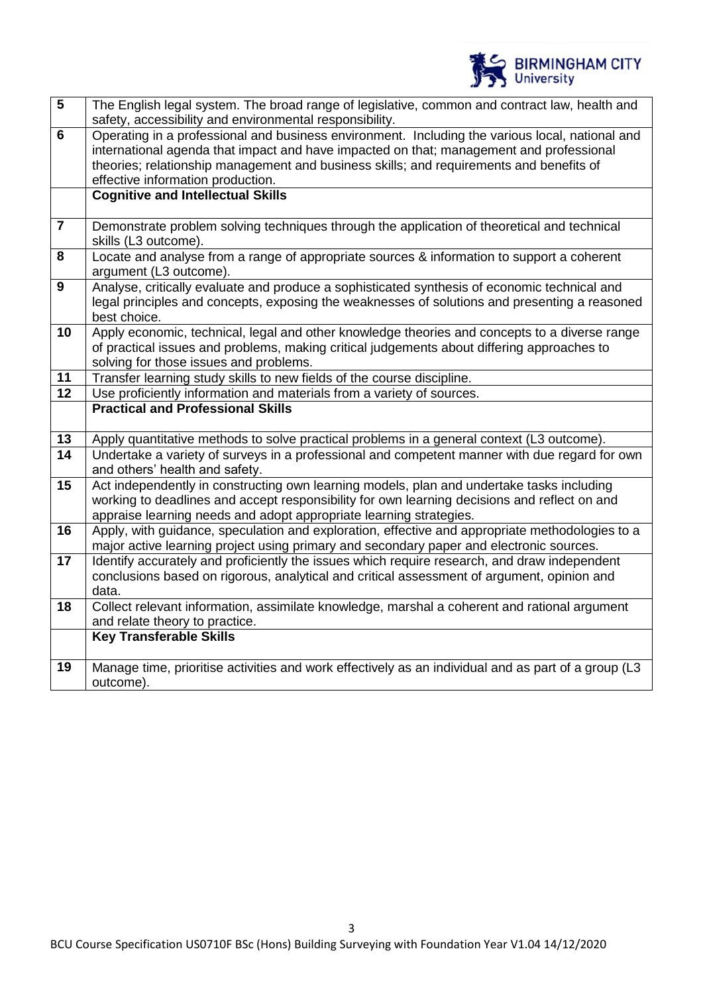

| $\overline{\mathbf{5}}$ | The English legal system. The broad range of legislative, common and contract law, health and<br>safety, accessibility and environmental responsibility.                                                                                                                                                                   |
|-------------------------|----------------------------------------------------------------------------------------------------------------------------------------------------------------------------------------------------------------------------------------------------------------------------------------------------------------------------|
| 6                       | Operating in a professional and business environment. Including the various local, national and<br>international agenda that impact and have impacted on that; management and professional<br>theories; relationship management and business skills; and requirements and benefits of<br>effective information production. |
|                         | <b>Cognitive and Intellectual Skills</b>                                                                                                                                                                                                                                                                                   |
| $\overline{7}$          | Demonstrate problem solving techniques through the application of theoretical and technical<br>skills (L3 outcome).                                                                                                                                                                                                        |
| 8                       | Locate and analyse from a range of appropriate sources & information to support a coherent<br>argument (L3 outcome).                                                                                                                                                                                                       |
| $\boldsymbol{9}$        | Analyse, critically evaluate and produce a sophisticated synthesis of economic technical and<br>legal principles and concepts, exposing the weaknesses of solutions and presenting a reasoned<br>best choice.                                                                                                              |
| 10                      | Apply economic, technical, legal and other knowledge theories and concepts to a diverse range<br>of practical issues and problems, making critical judgements about differing approaches to<br>solving for those issues and problems.                                                                                      |
| 11                      | Transfer learning study skills to new fields of the course discipline.                                                                                                                                                                                                                                                     |
| 12                      | Use proficiently information and materials from a variety of sources.                                                                                                                                                                                                                                                      |
|                         | <b>Practical and Professional Skills</b>                                                                                                                                                                                                                                                                                   |
| 13                      | Apply quantitative methods to solve practical problems in a general context (L3 outcome).                                                                                                                                                                                                                                  |
| $\overline{14}$         | Undertake a variety of surveys in a professional and competent manner with due regard for own<br>and others' health and safety.                                                                                                                                                                                            |
| 15                      | Act independently in constructing own learning models, plan and undertake tasks including<br>working to deadlines and accept responsibility for own learning decisions and reflect on and<br>appraise learning needs and adopt appropriate learning strategies.                                                            |
| 16                      | Apply, with quidance, speculation and exploration, effective and appropriate methodologies to a<br>major active learning project using primary and secondary paper and electronic sources.                                                                                                                                 |
| 17                      | Identify accurately and proficiently the issues which require research, and draw independent<br>conclusions based on rigorous, analytical and critical assessment of argument, opinion and<br>data.                                                                                                                        |
| 18                      | Collect relevant information, assimilate knowledge, marshal a coherent and rational argument<br>and relate theory to practice.                                                                                                                                                                                             |
|                         | <b>Key Transferable Skills</b>                                                                                                                                                                                                                                                                                             |
| 19                      | Manage time, prioritise activities and work effectively as an individual and as part of a group (L3<br>outcome).                                                                                                                                                                                                           |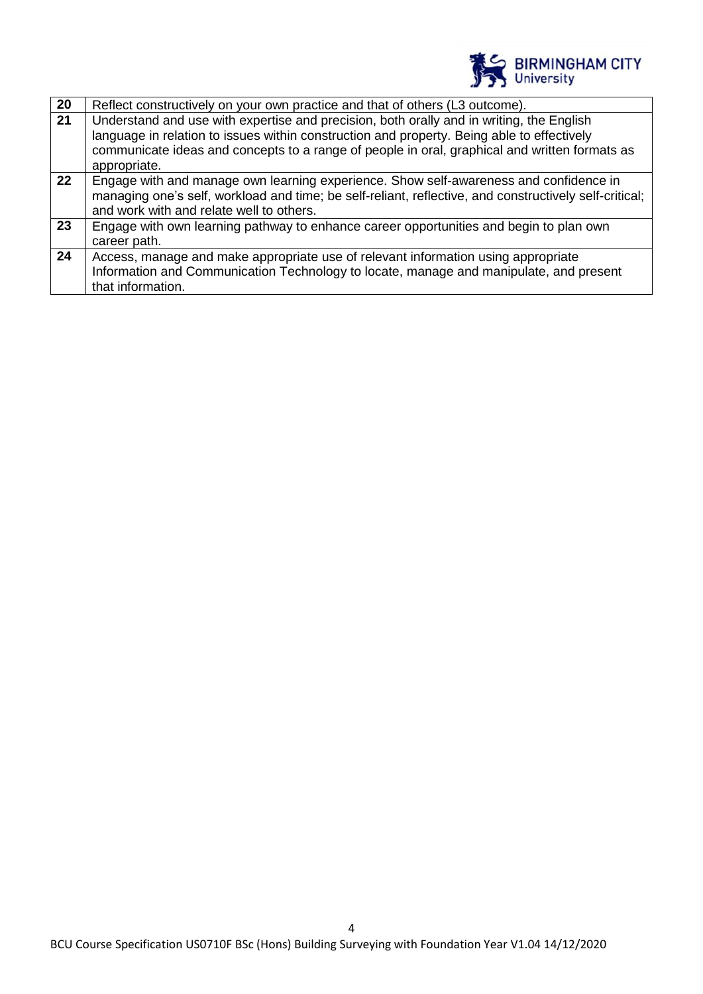

| 20 | Reflect constructively on your own practice and that of others (L3 outcome).                                                                                                           |
|----|----------------------------------------------------------------------------------------------------------------------------------------------------------------------------------------|
| 21 | Understand and use with expertise and precision, both orally and in writing, the English<br>language in relation to issues within construction and property. Being able to effectively |
|    | communicate ideas and concepts to a range of people in oral, graphical and written formats as<br>appropriate.                                                                          |
|    |                                                                                                                                                                                        |
| 22 | Engage with and manage own learning experience. Show self-awareness and confidence in                                                                                                  |
|    | managing one's self, workload and time; be self-reliant, reflective, and constructively self-critical;                                                                                 |
|    | and work with and relate well to others.                                                                                                                                               |
| 23 | Engage with own learning pathway to enhance career opportunities and begin to plan own                                                                                                 |
|    | career path.                                                                                                                                                                           |
| 24 | Access, manage and make appropriate use of relevant information using appropriate                                                                                                      |
|    | Information and Communication Technology to locate, manage and manipulate, and present                                                                                                 |
|    | that information.                                                                                                                                                                      |
|    |                                                                                                                                                                                        |

4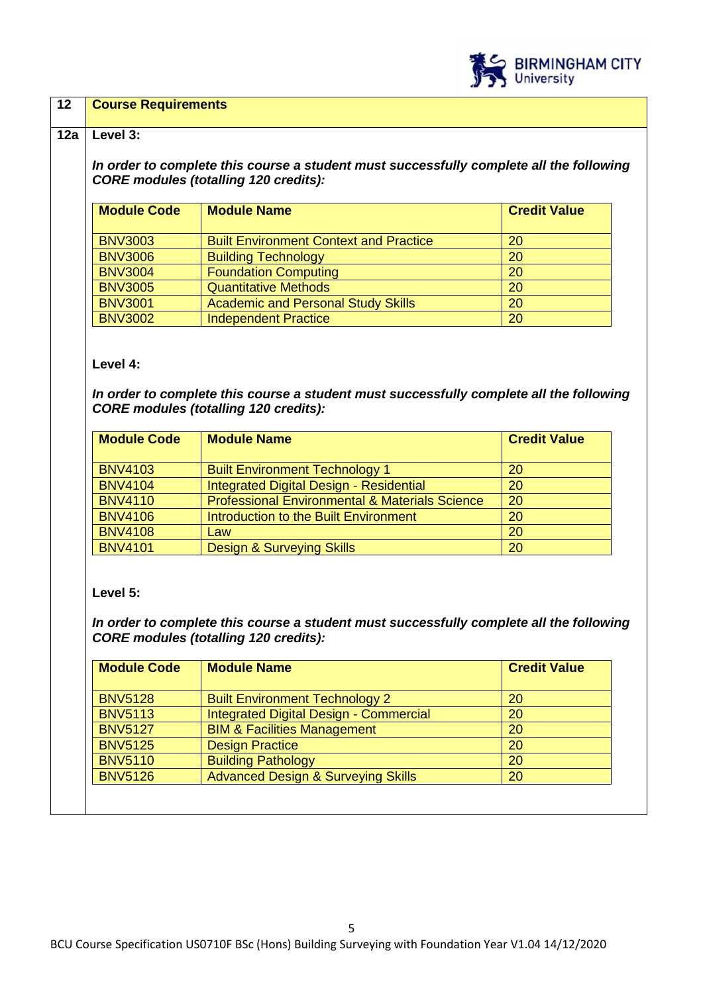

### **12 Course Requirements**

#### **12a Level 3:**

*In order to complete this course a student must successfully complete all the following CORE modules (totalling 120 credits):*

| <b>Module Code</b> | <b>Module Name</b>                            | <b>Credit Value</b> |
|--------------------|-----------------------------------------------|---------------------|
| <b>BNV3003</b>     | <b>Built Environment Context and Practice</b> | 20                  |
| <b>BNV3006</b>     | <b>Building Technology</b>                    | 20                  |
| <b>BNV3004</b>     | <b>Foundation Computing</b>                   | <b>20</b>           |
| <b>BNV3005</b>     | <b>Quantitative Methods</b>                   | 20                  |
| <b>BNV3001</b>     | <b>Academic and Personal Study Skills</b>     | 20                  |
| <b>BNV3002</b>     | Independent Practice                          | <b>20</b>           |

**Level 4:**

*In order to complete this course a student must successfully complete all the following CORE modules (totalling 120 credits):*

| <b>Module Code</b> | <b>Module Name</b>                                        | <b>Credit Value</b> |
|--------------------|-----------------------------------------------------------|---------------------|
| <b>BNV4103</b>     | <b>Built Environment Technology 1</b>                     | <b>20</b>           |
| <b>BNV4104</b>     | Integrated Digital Design - Residential                   | 20                  |
| <b>BNV4110</b>     | <b>Professional Environmental &amp; Materials Science</b> | 20                  |
| <b>BNV4106</b>     | Introduction to the Built Environment                     | <b>20</b>           |
| <b>BNV4108</b>     | Law                                                       | <b>20</b>           |
| <b>BNV4101</b>     | <b>Design &amp; Surveying Skills</b>                      | <b>20</b>           |

**Level 5:**

*In order to complete this course a student must successfully complete all the following CORE modules (totalling 120 credits):*

| <b>Module Code</b> | <b>Module Name</b>                            | <b>Credit Value</b> |
|--------------------|-----------------------------------------------|---------------------|
| <b>BNV5128</b>     | <b>Built Environment Technology 2</b>         | 20                  |
| <b>BNV5113</b>     | Integrated Digital Design - Commercial        | 20                  |
| <b>BNV5127</b>     | <b>BIM &amp; Facilities Management</b>        | 20                  |
| <b>BNV5125</b>     | <b>Design Practice</b>                        | 20                  |
| <b>BNV5110</b>     | <b>Building Pathology</b>                     | 20                  |
| <b>BNV5126</b>     | <b>Advanced Design &amp; Surveying Skills</b> | 20                  |
|                    |                                               |                     |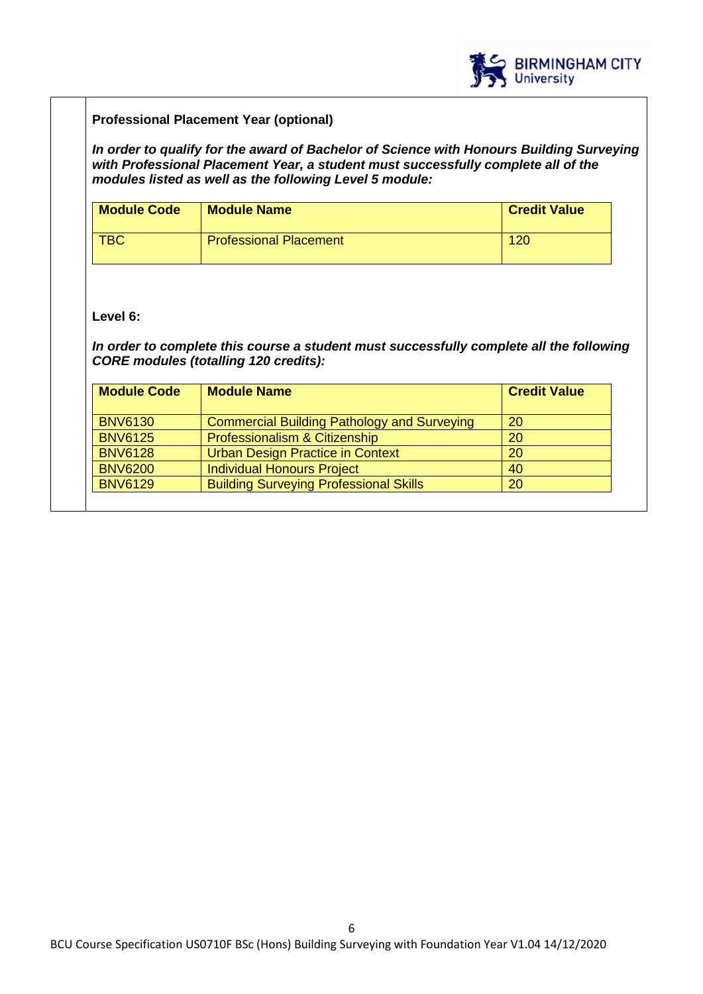

# **Professional Placement Year (optional)**

*In order to qualify for the award of Bachelor of Science with Honours Building Surveying with Professional Placement Year, a student must successfully complete all of the modules listed as well as the following Level 5 module:*

| <b>Module Code</b> | <b>Module Name</b>            | <b>Credit Value</b> |
|--------------------|-------------------------------|---------------------|
| <b>TBC</b>         | <b>Professional Placement</b> | 120                 |

### **Level 6:**

*In order to complete this course a student must successfully complete all the following CORE modules (totalling 120 credits):*

| <b>Module Name</b>                                 | <b>Credit Value</b> |
|----------------------------------------------------|---------------------|
| <b>Commercial Building Pathology and Surveying</b> | 20                  |
| Professionalism & Citizenship                      | 20                  |
| <b>Urban Design Practice in Context</b>            | <b>20</b>           |
| <b>Individual Honours Project</b>                  | 40                  |
| <b>Building Surveying Professional Skills</b>      | 20                  |
|                                                    |                     |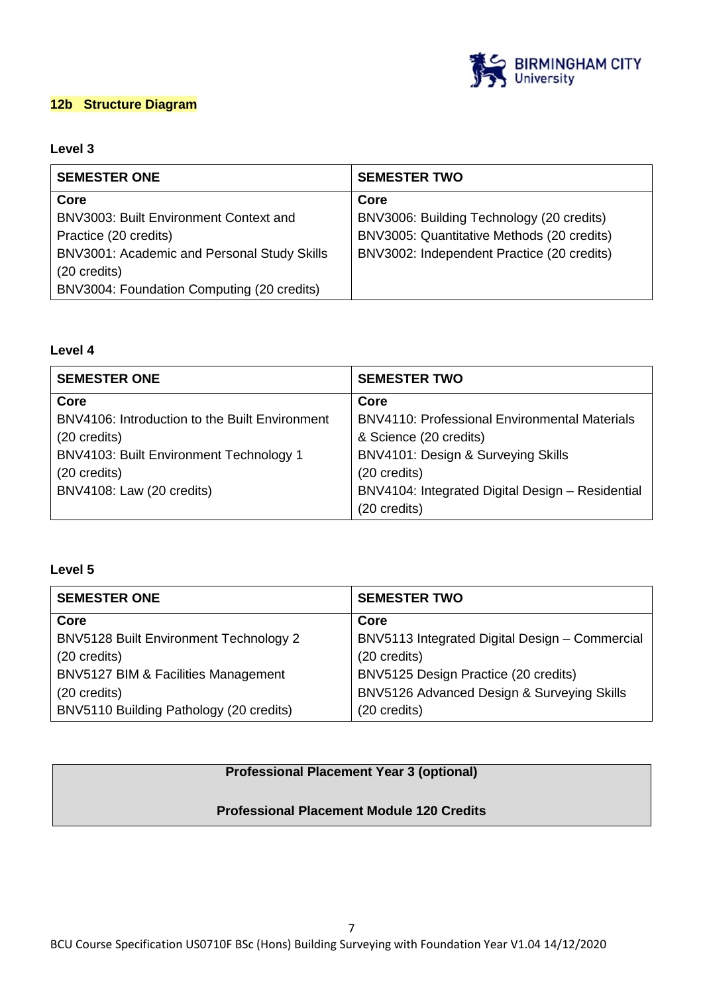

# **12b Structure Diagram**

# **Level 3**

| <b>SEMESTER ONE</b>                         | <b>SEMESTER TWO</b>                        |
|---------------------------------------------|--------------------------------------------|
| Core                                        | Core                                       |
| BNV3003: Built Environment Context and      | BNV3006: Building Technology (20 credits)  |
| Practice (20 credits)                       | BNV3005: Quantitative Methods (20 credits) |
| BNV3001: Academic and Personal Study Skills | BNV3002: Independent Practice (20 credits) |
| (20 credits)                                |                                            |
| BNV3004: Foundation Computing (20 credits)  |                                            |

# **Level 4**

| <b>SEMESTER ONE</b>                            | <b>SEMESTER TWO</b>                                  |
|------------------------------------------------|------------------------------------------------------|
| Core                                           | Core                                                 |
| BNV4106: Introduction to the Built Environment | <b>BNV4110: Professional Environmental Materials</b> |
| $(20 \text{ credits})$                         | & Science (20 credits)                               |
| BNV4103: Built Environment Technology 1        | BNV4101: Design & Surveying Skills                   |
| (20 credits)                                   | (20 credits)                                         |
| BNV4108: Law (20 credits)                      | BNV4104: Integrated Digital Design - Residential     |
|                                                | (20 credits)                                         |

# **Level 5**

| <b>SEMESTER ONE</b>                     | <b>SEMESTER TWO</b>                            |
|-----------------------------------------|------------------------------------------------|
| Core                                    | Core                                           |
| BNV5128 Built Environment Technology 2  | BNV5113 Integrated Digital Design - Commercial |
| (20 credits)                            | (20 credits)                                   |
| BNV5127 BIM & Facilities Management     | BNV5125 Design Practice (20 credits)           |
| (20 credits)                            | BNV5126 Advanced Design & Surveying Skills     |
| BNV5110 Building Pathology (20 credits) | (20 credits)                                   |

# **Professional Placement Year 3 (optional)**

# **Professional Placement Module 120 Credits**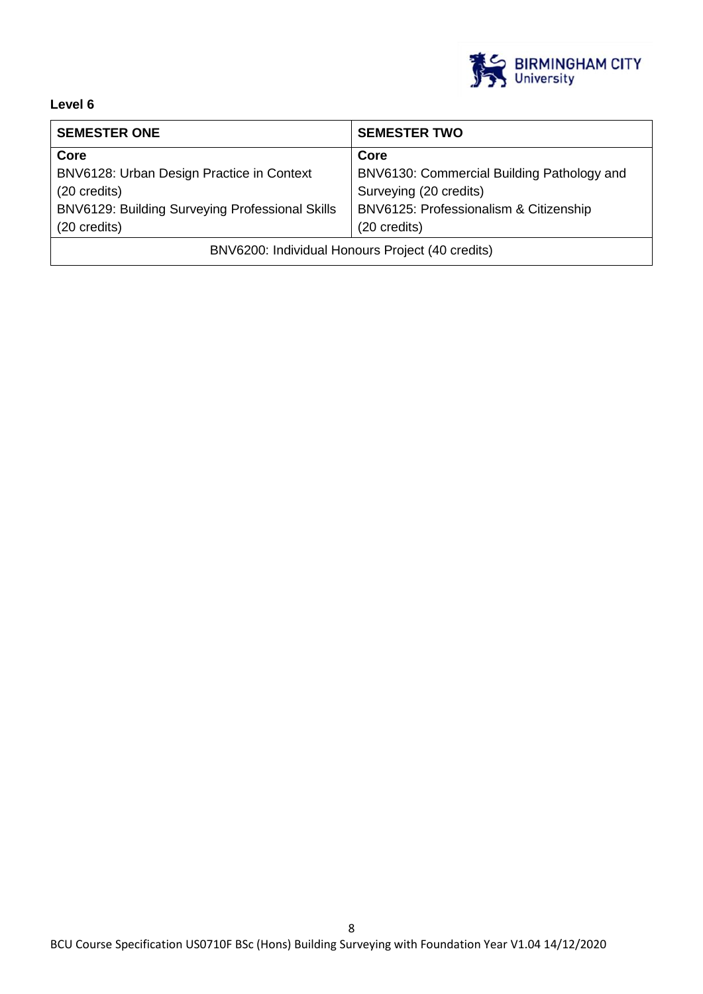

# **Level 6**

| <b>SEMESTER ONE</b>                              | <b>SEMESTER TWO</b>                        |
|--------------------------------------------------|--------------------------------------------|
| Core                                             | Core                                       |
| BNV6128: Urban Design Practice in Context        | BNV6130: Commercial Building Pathology and |
| (20 credits)                                     | Surveying (20 credits)                     |
| BNV6129: Building Surveying Professional Skills  | BNV6125: Professionalism & Citizenship     |
| (20 credits)                                     | (20 credits)                               |
| BNV6200: Individual Honours Project (40 credits) |                                            |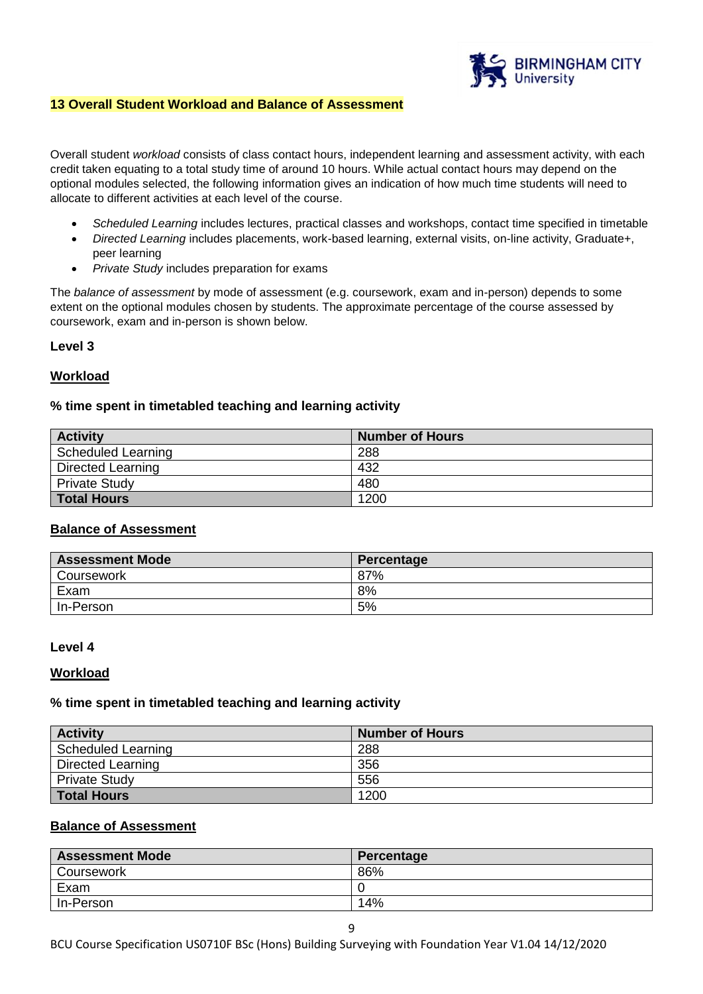

#### **13 Overall Student Workload and Balance of Assessment**

Overall student *workload* consists of class contact hours, independent learning and assessment activity, with each credit taken equating to a total study time of around 10 hours. While actual contact hours may depend on the optional modules selected, the following information gives an indication of how much time students will need to allocate to different activities at each level of the course.

- *Scheduled Learning* includes lectures, practical classes and workshops, contact time specified in timetable
- *Directed Learning* includes placements, work-based learning, external visits, on-line activity, Graduate+, peer learning
- *Private Study* includes preparation for exams

The *balance of assessment* by mode of assessment (e.g. coursework, exam and in-person) depends to some extent on the optional modules chosen by students. The approximate percentage of the course assessed by coursework, exam and in-person is shown below.

#### **Level 3**

### **Workload**

#### **% time spent in timetabled teaching and learning activity**

| <b>Activity</b>      | <b>Number of Hours</b> |
|----------------------|------------------------|
| Scheduled Learning   | 288                    |
| Directed Learning    | 432                    |
| <b>Private Study</b> | 480                    |
| <b>Total Hours</b>   | 1200                   |

#### **Balance of Assessment**

| <b>Assessment Mode</b> | Percentage |
|------------------------|------------|
| Coursework             | 87%        |
| Exam                   | 8%         |
| In-Person              | 5%         |

#### **Level 4**

#### **Workload**

#### **% time spent in timetabled teaching and learning activity**

| <b>Activity</b>      | <b>Number of Hours</b> |
|----------------------|------------------------|
| Scheduled Learning   | 288                    |
| Directed Learning    | 356                    |
| <b>Private Study</b> | 556                    |
| Total Hours          | 1200                   |

#### **Balance of Assessment**

| <b>Assessment Mode</b> | Percentage |
|------------------------|------------|
| Coursework             | 86%        |
| Exam                   |            |
| In-Person              | 14%        |